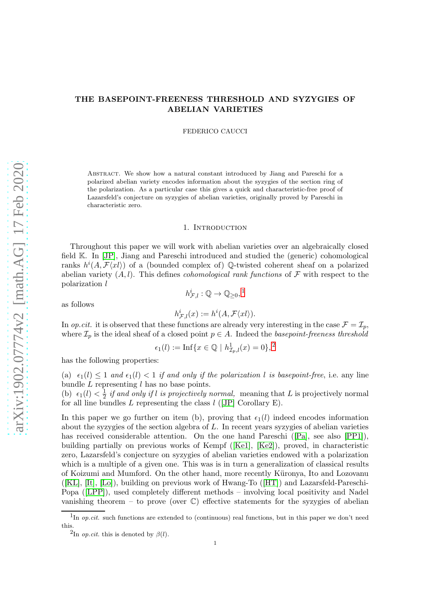# THE BASEPOINT-FREENESS THRESHOLD AND SYZYGIES OF ABELIAN VARIETIES

FEDERICO CAUCCI

Abstract. We show how a natural constant introduced by Jiang and Pareschi for a polarized abelian variety encodes information about the syzygies of the section ring of the polarization. As a particular case this gives a quick and characteristic-free proof of Lazarsfeld's conjecture on syzygies of abelian varieties, originally proved by Pareschi in characteristic zero.

## 1. INTRODUCTION

Throughout this paper we will work with abelian varieties over an algebraically closed field K. In [\[JP\]](#page-12-0), Jiang and Pareschi introduced and studied the (generic) cohomological ranks  $h^{i}(A, \mathcal{F}\langle x l \rangle)$  of a (bounded complex of) Q-twisted coherent sheaf on a polarized abelian variety  $(A, l)$ . This defines *cohomological rank functions* of  $\mathcal F$  with respect to the polarization l

as follows

 $h^i_{\mathcal{F},l}(x) := h^i(A, \mathcal{F}\langle xl \rangle).$ 

 $h_{\mathcal{F},l}^i:\mathbb{Q}\to\mathbb{Q}_{\geq0},^1$  $h_{\mathcal{F},l}^i:\mathbb{Q}\to\mathbb{Q}_{\geq0},^1$ 

In *op.cit.* it is observed that these functions are already very interesting in the case  $\mathcal{F} = \mathcal{I}_p$ , where  $\mathcal{I}_p$  is the ideal sheaf of a closed point  $p \in A$ . Indeed the basepoint-freeness threshold

$$
\epsilon_1(l) := \text{Inf}\{x \in \mathbb{Q} \mid h^1_{\mathcal{I}_p,l}(x) = 0\},^2
$$

has the following properties:

(a)  $\epsilon_1(l) \leq 1$  and  $\epsilon_1(l) < 1$  if and only if the polarization l is basepoint-free, i.e. any line bundle  $L$  representing  $l$  has no base points.

(b)  $\epsilon_1(l) < \frac{1}{2}$  $\frac{1}{2}$  *if and only if l is projectively normal*, meaning that L is projectively normal for all line bundles  $L$  representing the class  $l$  ([\[JP\]](#page-12-0) Corollary E).

In this paper we go further on item (b), proving that  $\epsilon_1(l)$  indeed encodes information about the syzygies of the section algebra of  $L$ . In recent years syzygies of abelian varieties has received considerable attention. On the one hand Pareschi ([\[Pa\]](#page-12-1), see also [\[PP1\]](#page-12-2)), building partially on previous works of Kempf ([\[Ke1\]](#page-12-3), [\[Ke2\]](#page-12-4)), proved, in characteristic zero, Lazarsfeld's conjecture on syzygies of abelian varieties endowed with a polarization which is a multiple of a given one. This was is in turn a generalization of classical results of Koizumi and Mumford. On the other hand, more recently Küronya, Ito and Lozovanu ([\[KL\]](#page-12-5), [\[It\]](#page-12-6), [\[Lo\]](#page-12-7)), building on previous work of Hwang-To ([\[HT\]](#page-12-8)) and Lazarsfeld-Pareschi-Popa ([\[LPP\]](#page-12-9)), used completely different methods – involving local positivity and Nadel vanishing theorem – to prove (over  $\mathbb{C}$ ) effective statements for the syzygies of abelian

<sup>&</sup>lt;sup>1</sup>In *op.cit.* such functions are extended to (continuous) real functions, but in this paper we don't need this.

<span id="page-0-1"></span><span id="page-0-0"></span><sup>&</sup>lt;sup>2</sup>In *op.cit.* this is denoted by  $\beta(l)$ .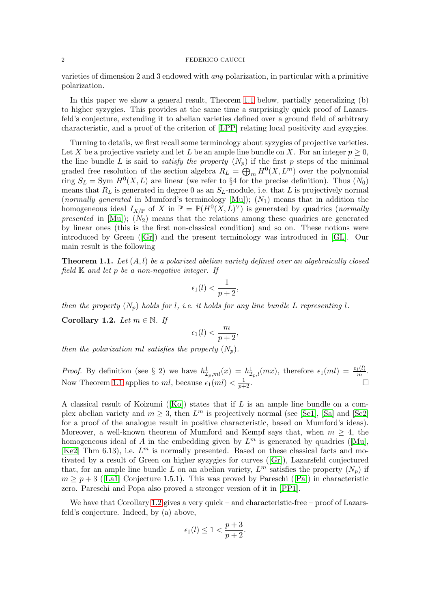varieties of dimension 2 and 3 endowed with any polarization, in particular with a primitive polarization.

In this paper we show a general result, Theorem [1.1](#page-1-0) below, partially generalizing (b) to higher syzygies. This provides at the same time a surprisingly quick proof of Lazarsfeld's conjecture, extending it to abelian varieties defined over a ground field of arbitrary characteristic, and a proof of the criterion of [\[LPP\]](#page-12-9) relating local positivity and syzygies.

Turning to details, we first recall some terminology about syzygies of projective varieties. Let X be a projective variety and let L be an ample line bundle on X. For an integer  $p \geq 0$ , the line bundle L is said to *satisfy the property*  $(N_p)$  if the first p steps of the minimal graded free resolution of the section algebra  $R_L = \bigoplus_m H^0(X, L^m)$  over the polynomial ring  $S_L = \text{Sym } H^0(X, L)$  are linear (we refer to §4 for the precise definition). Thus  $(N_0)$ means that  $R_L$  is generated in degree 0 as an  $S_L$ -module, i.e. that L is projectively normal (normally generated in Mumford's terminology  $[Mu]$ );  $(N_1)$  means that in addition the homogeneous ideal  $I_{X/\mathbb{P}}$  of X in  $\mathbb{P} = \mathbb{P}(H^0(X, L)^{\vee})$  is generated by quadrics (*normally* presented in  $[Mu]$ ;  $(N_2)$  means that the relations among these quadrics are generated by linear ones (this is the first non-classical condition) and so on. These notions were introduced by Green ([\[Gr\]](#page-12-11)) and the present terminology was introduced in [\[GL\]](#page-12-12). Our main result is the following

<span id="page-1-0"></span>**Theorem 1.1.** Let  $(A, l)$  be a polarized abelian variety defined over an algebraically closed field  $K$  and let  $p$  be a non-negative integer. If

$$
\epsilon_1(l) < \frac{1}{p+2},
$$

then the property  $(N_p)$  holds for l, i.e. it holds for any line bundle L representing l.

<span id="page-1-1"></span>Corollary 1.2. Let  $m \in \mathbb{N}$ . If

$$
\epsilon_1(l) < \frac{m}{p+2},
$$

then the polarization ml satisfies the property  $(N_n)$ .

*Proof.* By definition (see § 2) we have  $h_{\mathcal{I}_p,ml}^1(x) = h_{\mathcal{I}_p,l}^1(mx)$ , therefore  $\epsilon_1(ml) = \frac{\epsilon_1(l)}{m}$ . Now Theorem [1.1](#page-1-0) applies to ml, because  $\epsilon_1(ml) < \frac{1}{p+2}$ .

A classical result of Koizumi ([\[Ko\]](#page-12-13)) states that if L is an ample line bundle on a complex abelian variety and  $m \geq 3$ , then  $L^m$  is projectively normal (see [\[Se1\]](#page-13-0), [\[Sa\]](#page-13-1) and [\[Se2\]](#page-13-2) for a proof of the analogue result in positive characteristic, based on Mumford's ideas). Moreover, a well-known theorem of Mumford and Kempf says that, when  $m \geq 4$ , the homogeneous ideal of A in the embedding given by  $L^m$  is generated by quadrics ([\[Mu\]](#page-12-10), [\[Ke2\]](#page-12-4) Thm 6.13), i.e.  $L^m$  is normally presented. Based on these classical facts and motivated by a result of Green on higher syzygies for curves ([\[Gr\]](#page-12-11)), Lazarsfeld conjectured that, for an ample line bundle L on an abelian variety,  $L^m$  satisfies the property  $(N_p)$  if  $m > p + 3$  ([\[La1\]](#page-12-14) Conjecture 1.5.1). This was proved by Pareschi ([\[Pa\]](#page-12-1)) in characteristic zero. Pareschi and Popa also proved a stronger version of it in [\[PP1\]](#page-12-2).

We have that Corollary [1.2](#page-1-1) gives a very quick – and characteristic-free – proof of Lazarsfeld's conjecture. Indeed, by (a) above,

$$
\epsilon_1(l) \le 1 < \frac{p+3}{p+2}.
$$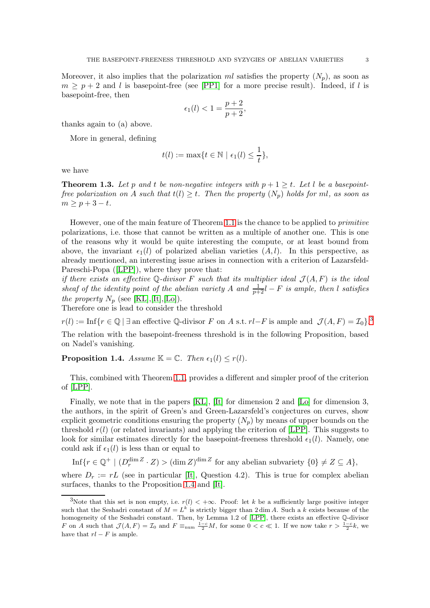Moreover, it also implies that the polarization ml satisfies the property  $(N_n)$ , as soon as  $m \geq p+2$  and l is basepoint-free (see [\[PP1\]](#page-12-2) for a more precise result). Indeed, if l is basepoint-free, then

$$
\epsilon_1(l) < 1 = \frac{p+2}{p+2},
$$

thanks again to (a) above.

More in general, defining

$$
t(l) := \max\{t \in \mathbb{N} \mid \epsilon_1(l) \leq \frac{1}{t}\},\
$$

we have

<span id="page-2-2"></span>**Theorem 1.3.** Let p and t be non-negative integers with  $p + 1 \ge t$ . Let l be a basepointfree polarization on A such that  $t(l) \geq t$ . Then the property  $(N_p)$  holds for ml, as soon as  $m \geq p+3-t$ .

However, one of the main feature of Theorem [1](#page-1-0).1 is the chance to be applied to primitive polarizations, i.e. those that cannot be written as a multiple of another one. This is one of the reasons why it would be quite interesting the compute, or at least bound from above, the invariant  $\epsilon_1(l)$  of polarized abelian varieties  $(A, l)$ . In this perspective, as already mentioned, an interesting issue arises in connection with a criterion of Lazarsfeld-Pareschi-Popa ([\[LPP\]](#page-12-9)), where they prove that:

if there exists an effective Q-divisor F such that its multiplier ideal  $\mathcal{J}(A, F)$  is the ideal sheaf of the identity point of the abelian variety A and  $\frac{1}{p+2}l - F$  is ample, then l satisfies the property  $N_p$  (see [\[KL\]](#page-12-5),[\[It\]](#page-12-6),[\[Lo\]](#page-12-7)).

Therefore one is lead to consider the threshold

 $r(l) := \text{Inf}\{r \in \mathbb{Q} \mid \exists \text{ an effective } \mathbb{Q}\text{-divisor } F \text{ on } A \text{ s.t. } rl-F \text{ is ample and } \mathcal{J}(A,F) = \mathcal{I}_0\}$ .

The relation with the basepoint-freeness threshold is in the following Proposition, based on Nadel's vanishing.

<span id="page-2-1"></span>**Proposition 1.4.** Assume  $\mathbb{K} = \mathbb{C}$ . Then  $\epsilon_1(l) \leq r(l)$ .

This, combined with Theorem [1.1,](#page-1-0) provides a different and simpler proof of the criterion of [\[LPP\]](#page-12-9).

Finally, we note that in the papers [\[KL\]](#page-12-5), [\[It\]](#page-12-6) for dimension 2 and [\[Lo\]](#page-12-7) for dimension 3, the authors, in the spirit of Green's and Green-Lazarsfeld's conjectures on curves, show explicit geometric conditions ensuring the property  $(N_p)$  by means of upper bounds on the threshold  $r(l)$  (or related invariants) and applying the criterion of [\[LPP\]](#page-12-9). This suggests to look for similar estimates directly for the basepoint-freeness threshold  $\epsilon_1(l)$ . Namely, one could ask if  $\epsilon_1(l)$  is less than or equal to

 $\text{Inf}\{r \in \mathbb{Q}^+ \mid (D_r^{\dim Z} \cdot Z) > (\dim Z)^{\dim Z} \text{ for any abelian subvariety } \{0\} \neq Z \subseteq A\},\$ 

where  $D_r := rL$  (see in particular [\[It\]](#page-12-6), Question 4.2). This is true for complex abelian surfaces, thanks to the Proposition [1.4](#page-2-1) and [\[It\]](#page-12-6).

<span id="page-2-0"></span><sup>3</sup>Note that this set is non empty, i.e.  $r(l) < +\infty$ . Proof: let k be a sufficiently large positive integer such that the Seshadri constant of  $M = L^k$  is strictly bigger than 2 dim A. Such a k exists because of the homogeneity of the Seshadri constant. Then, by Lemma 1.2 of [\[LPP\]](#page-12-9), there exists an effective Q-divisor F on A such that  $\mathcal{J}(A, F) = \mathcal{I}_0$  and  $F \equiv_{\text{num}} \frac{1-c}{2}M$ , for some  $0 < c \ll 1$ . If we now take  $r > \frac{1-c}{2}k$ , we have that  $rl - F$  is ample.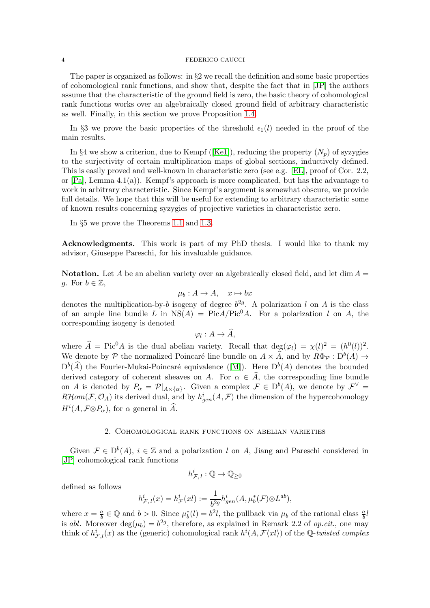The paper is organized as follows: in §2 we recall the definition and some basic properties of cohomological rank functions, and show that, despite the fact that in [\[JP\]](#page-12-0) the authors assume that the characteristic of the ground field is zero, the basic theory of cohomological rank functions works over an algebraically closed ground field of arbitrary characteristic as well. Finally, in this section we prove Proposition [1.4.](#page-2-1)

In §3 we prove the basic properties of the threshold  $\epsilon_1(l)$  needed in the proof of the main results.

In §4 we show a criterion, due to Kempf ([\[Ke1\]](#page-12-3)), reducing the property  $(N_p)$  of syzygies to the surjectivity of certain multiplication maps of global sections, inductively defined. This is easily proved and well-known in characteristic zero (see e.g. [\[EL\]](#page-12-15), proof of Cor. 2.2, or  $[Pa]$ , Lemma 4.1(a)). Kempf's approach is more complicated, but has the advantage to work in arbitrary characteristic. Since Kempf's argument is somewhat obscure, we provide full details. We hope that this will be useful for extending to arbitrary characteristic some of known results concerning syzygies of projective varieties in characteristic zero.

In §5 we prove the Theorems [1.1](#page-1-0) and [1.3.](#page-2-2)

Acknowledgments. This work is part of my PhD thesis. I would like to thank my advisor, Giuseppe Pareschi, for his invaluable guidance.

**Notation.** Let A be an abelian variety over an algebraically closed field, and let dim  $A =$ q. For  $b \in \mathbb{Z}$ ,

$$
\mu_b: A \to A, \quad x \mapsto bx
$$

denotes the multiplication-by-b isogeny of degree  $b^{2g}$ . A polarization l on A is the class of an ample line bundle L in  $NS(A) = PicA/Pic^{0}A$ . For a polarization l on A, the corresponding isogeny is denoted

$$
\varphi_l: A\to \widehat{A},
$$

where  $\hat{A} = Pic^{0}A$  is the dual abelian variety. Recall that  $deg(\varphi_l) = \chi(l)^2 = (h^0(l))^2$ . We denote by P the normalized Poincaré line bundle on  $A \times \widehat{A}$ , and by  $R\Phi_{\mathcal{P}} : D^b(A) \to$  $D^{b}(\hat{A})$  the Fourier-Mukai-Poincaré equivalence ([\[M\]](#page-12-16)). Here  $D^{b}(A)$  denotes the bounded derived category of coherent sheaves on A. For  $\alpha \in \hat{A}$ , the corresponding line bundle on A is denoted by  $P_{\alpha} = \mathcal{P}|_{A\times\{\alpha\}}$ . Given a complex  $\mathcal{F} \in D^b(A)$ , we denote by  $\mathcal{F}^{\vee} =$  $R\mathcal{H}om(\mathcal{F}, \mathcal{O}_A)$  its derived dual, and by  $h_{gen}^i(A, \mathcal{F})$  the dimension of the hypercohomology  $H^{i}(A, \mathcal{F} \otimes P_{\alpha})$ , for  $\alpha$  general in  $\widehat{A}$ .

## 2. Cohomological rank functions on abelian varieties

Given  $\mathcal{F} \in D^b(A)$ ,  $i \in \mathbb{Z}$  and a polarization l on A, Jiang and Pareschi considered in [\[JP\]](#page-12-0) cohomological rank functions

$$
h^i_{\mathcal{F},\,l}:\mathbb{Q}\to\mathbb{Q}_{\geq 0}
$$

defined as follows

$$
h^i_{\mathcal{F},l}(x) = h^i_{\mathcal{F}}(xl) := \frac{1}{b^{2g}} h^i_{gen}(A, \mu^*_{b}(\mathcal{F}) \otimes L^{ab}),
$$

where  $x = \frac{a}{b}$  $\frac{a}{b} \in \mathbb{Q}$  and  $b > 0$ . Since  $\mu_b^*(l) = b^2 l$ , the pullback via  $\mu_b$  of the rational class  $\frac{a}{b}l$ is abl. Moreover  $\deg(\mu_b) = b^{2g}$ , therefore, as explained in Remark 2.2 of *op.cit.*, one may think of  $h^i_{\mathcal{F},l}(x)$  as the (generic) cohomological rank  $h^i(A,\mathcal{F}\langle xt\rangle)$  of the Q-twisted complex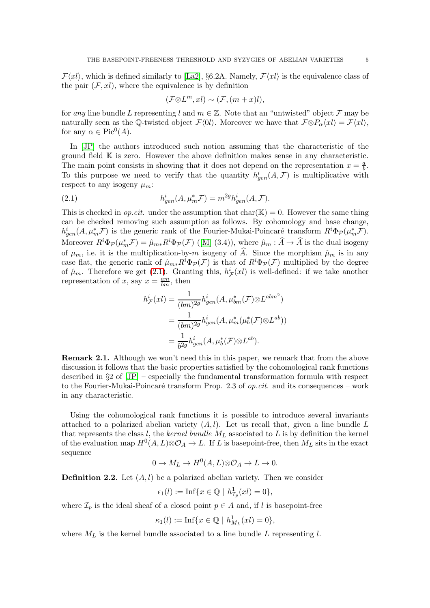$\mathcal{F}\langle x \rangle$ , which is defined similarly to [\[La2\]](#page-12-17), §6.2A. Namely,  $\mathcal{F}\langle x \rangle$  is the equivalence class of the pair  $(F, xl)$ , where the equivalence is by definition

$$
(\mathcal{F} \otimes L^m, x\mathbf{l}) \sim (\mathcal{F}, (m+x)\mathbf{l}),
$$

for any line bundle L representing l and  $m \in \mathbb{Z}$ . Note that an "untwisted" object  $\mathcal F$  may be naturally seen as the Q-twisted object  $\mathcal{F}\langle 0l \rangle$ . Moreover we have that  $\mathcal{F} \otimes P_{\alpha} \langle xl \rangle = \mathcal{F}\langle xl \rangle$ , for any  $\alpha \in Pic^0(A)$ .

In [\[JP\]](#page-12-0) the authors introduced such notion assuming that the characteristic of the ground field  $\mathbb K$  is zero. However the above definition makes sense in any characteristic. The main point consists in showing that it does not depend on the representation  $x = \frac{a}{b}$  $\frac{a}{b}$ . To this purpose we need to verify that the quantity  $h_{gen}^i(A, \mathcal{F})$  is multiplicative with respect to any isogeny  $\mu_m$ :

<span id="page-4-0"></span>(2.1) 
$$
h_{gen}^i(A, \mu_m^* \mathcal{F}) = m^{2g} h_{gen}^i(A, \mathcal{F}).
$$

This is checked in *op.cit.* under the assumption that  $char(\mathbb{K}) = 0$ . However the same thing can be checked removing such assumption as follows. By cohomology and base change,  $h_{gen}^i(A, \mu_m^* \mathcal{F})$  is the generic rank of the Fourier-Mukai-Poincaré transform  $R^i \Phi_P(\mu_m^* \mathcal{F})$ . Moreover  $R^i\Phi_{\mathcal{P}}(\mu_m^*\mathcal{F}) = \hat{\mu}_{m*}R^i\Phi_{\mathcal{P}}(\mathcal{F})$  ([\[M\]](#page-12-16) (3.4)), where  $\hat{\mu}_m : \hat{A} \to \hat{A}$  is the dual isogeny of  $\mu_m$ , i.e. it is the multiplication-by-m isogeny of  $\hat{A}$ . Since the morphism  $\hat{\mu}_m$  is in any case flat, the generic rank of  $\hat{\mu}_{m*}R^i\Phi_{\mathcal{P}}(\mathcal{F})$  is that of  $R^i\Phi_{\mathcal{P}}(\mathcal{F})$  multiplied by the degree of  $\hat{\mu}_m$ . Therefore we get [\(2.1\)](#page-4-0). Granting this,  $h^i_{\mathcal{F}}(xl)$  is well-defined: if we take another representation of x, say  $x = \frac{am}{bm}$ , then

$$
h_{\mathcal{F}}^{i}(xl) = \frac{1}{(bm)^{2g}} h_{gen}^{i}(A, \mu_{bm}^{*}(\mathcal{F}) \otimes L^{abm^{2}})
$$
  
= 
$$
\frac{1}{(bm)^{2g}} h_{gen}^{i}(A, \mu_{m}^{*}(\mu_{b}^{*}(\mathcal{F}) \otimes L^{ab}))
$$
  
= 
$$
\frac{1}{b^{2g}} h_{gen}^{i}(A, \mu_{b}^{*}(\mathcal{F}) \otimes L^{ab}).
$$

Remark 2.1. Although we won't need this in this paper, we remark that from the above discussion it follows that the basic properties satisfied by the cohomological rank functions described in §2 of [\[JP\]](#page-12-0) – especially the fundamental transformation formula with respect to the Fourier-Mukai-Poincaré transform Prop. 2.3 of *op.cit.* and its consequences – work in any characteristic.

Using the cohomological rank functions it is possible to introduce several invariants attached to a polarized abelian variety  $(A, l)$ . Let us recall that, given a line bundle L that represents the class  $l$ , the kernel bundle  $M_L$  associated to  $L$  is by definition the kernel of the evaluation map  $H^0(A, L) \otimes \mathcal{O}_A \to L$ . If L is basepoint-free, then  $M_L$  sits in the exact sequence

$$
0 \to M_L \to H^0(A, L) \otimes \mathcal{O}_A \to L \to 0.
$$

<span id="page-4-1"></span>**Definition 2.2.** Let  $(A, l)$  be a polarized abelian variety. Then we consider

$$
\epsilon_1(l) := \text{Inf}\{x \in \mathbb{Q} \mid h^1_{\mathcal{I}_p}(xl) = 0\},\
$$

where  $\mathcal{I}_p$  is the ideal sheaf of a closed point  $p \in A$  and, if l is basepoint-free

$$
\kappa_1(l) := \text{Inf}\{x \in \mathbb{Q} \mid h_{M_L}^1(xl) = 0\},\
$$

where  $M_L$  is the kernel bundle associated to a line bundle L representing l.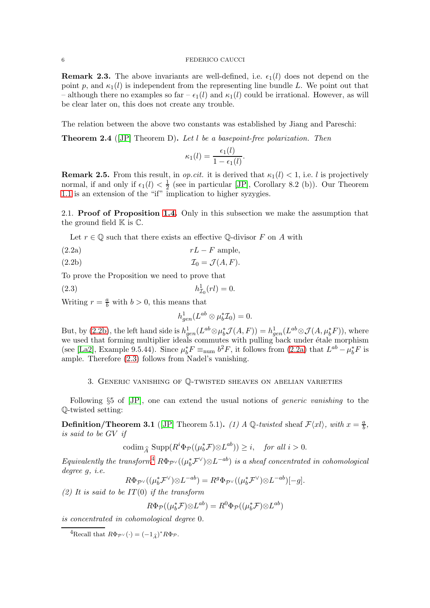**Remark 2.3.** The above invariants are well-defined, i.e.  $\epsilon_1(l)$  does not depend on the point p, and  $\kappa_1(l)$  is independent from the representing line bundle L. We point out that – although there no examples so far –  $\epsilon_1(l)$  and  $\kappa_1(l)$  could be irrational. However, as will be clear later on, this does not create any trouble.

The relation between the above two constants was established by Jiang and Pareschi:

<span id="page-5-5"></span>**Theorem 2.4** ([\[JP\]](#page-12-0) Theorem D). Let  $l$  be a basepoint-free polarization. Then

$$
\kappa_1(l) = \frac{\epsilon_1(l)}{1 - \epsilon_1(l)}.
$$

**Remark 2.5.** From this result, in *op.cit.* it is derived that  $\kappa_1(l) < 1$ , i.e. l is projectively normal, if and only if  $\epsilon_1(l) < \frac{1}{2}$  $\frac{1}{2}$  (see in particular [\[JP\]](#page-12-0), Corollary 8.2 (b)). Our Theorem [1.1](#page-1-0) is an extension of the "if" implication to higher syzygies.

2.1. Proof of Proposition [1.4.](#page-2-1) Only in this subsection we make the assumption that the ground field  $\mathbb K$  is  $\mathbb C$ .

Let  $r \in \mathbb{Q}$  such that there exists an effective  $\mathbb{Q}$ -divisor F on A with

- <span id="page-5-1"></span> $rL - F$  ample,
- <span id="page-5-0"></span>(2.2b)  $\mathcal{I}_0 = \mathcal{J}(A, F).$

To prove the Proposition we need to prove that

(2.3) 
$$
h_{\mathcal{I}_0}^1(rl) = 0.
$$

Writing  $r = \frac{a}{b}$  with  $b > 0$ , this means that

<span id="page-5-2"></span>
$$
h_{gen}^1(L^{ab}\otimes\mu_b^*\mathcal{I}_0)=0.
$$

But, by [\(2.2b\)](#page-5-0), the left hand side is  $h_{gen}^1(L^{ab}\otimes\mu_b^* \mathcal{J}(A,F))=h_{gen}^1(L^{ab}\otimes \mathcal{J}(A,\mu_b^* F))$ , where we used that forming multiplier ideals commutes with pulling back under étale morphism (see [\[La2\]](#page-12-17), Example 9.5.44). Since  $\mu_b^* F \equiv_{\text{num}} b^2 F$ , it follows from [\(2.2a\)](#page-5-1) that  $L^{ab} - \mu_b^* F$  is ample. Therefore [\(2.3\)](#page-5-2) follows from Nadel's vanishing.

## 3. Generic vanishing of Q-twisted sheaves on abelian varieties

Following §5 of [\[JP\]](#page-12-0), one can extend the usual notions of *generic vanishing* to the Q-twisted setting:

<span id="page-5-4"></span>**Definition/Theorem 3.1** ([\[JP\]](#page-12-0) Theorem 5.1). (1) A Q-twisted sheaf  $\mathcal{F}\langle x l \rangle$ , with  $x = \frac{a}{b}$ , is said to be GV if

$$
\operatorname{codim}_{\widehat{A}} \operatorname{Supp}(R^i \Phi_{\mathcal{P}}((\mu_b^* \mathcal{F}) \otimes L^{ab})) \ge i, \quad \text{for all } i > 0.
$$

Equivalently the transform<sup>[4](#page-5-3)</sup>  $R\Phi_{\mathcal{P}^{\vee}}((\mu_b^*\mathcal{F}^{\vee})\otimes L^{-ab})$  is a sheaf concentrated in cohomological degree g, i.e.

$$
R\Phi_{\mathcal{P}^{\vee}}((\mu_b^* \mathcal{F}^{\vee}) \otimes L^{-ab}) = R^g \Phi_{\mathcal{P}^{\vee}}((\mu_b^* \mathcal{F}^{\vee}) \otimes L^{-ab})[-g].
$$

(2) It is said to be  $IT(0)$  if the transform

$$
R\Phi_{\mathcal{P}}((\mu_b^* \mathcal{F}) \otimes L^{ab}) = R^0 \Phi_{\mathcal{P}}((\mu_b^* \mathcal{F}) \otimes L^{ab})
$$

is concentrated in cohomological degree 0.

<span id="page-5-3"></span><sup>4</sup>Recall that  $R\Phi_{\mathcal{P}^{\vee}}(\cdot) = (-1_{\widehat{A}})^* R\Phi_{\mathcal{P}}$ .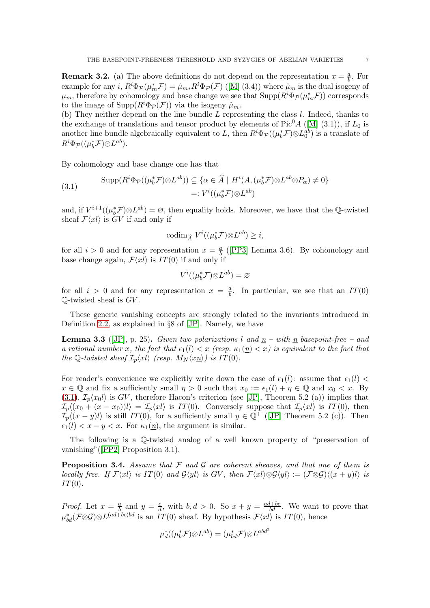**Remark 3.2.** (a) The above definitions do not depend on the representation  $x = \frac{a}{b}$  $\frac{a}{b}$ . For example for any  $i$ ,  $R^i\Phi_{\mathcal{P}}(\mu_m^*\mathcal{F}) = \hat{\mu}_{m*}R^i\Phi_{\mathcal{P}}(\mathcal{F})$  ([\[M\]](#page-12-16) (3.4)) where  $\hat{\mu}_m$  is the dual isogeny of  $\mu_m$ , therefore by cohomology and base change we see that  $\text{Supp}(R^i\Phi_{\mathcal{P}}(\mu_m^*\mathcal{F}))$  corresponds to the image of  $\text{Supp}(R^i \Phi_{\mathcal{P}}(\mathcal{F}))$  via the isogeny  $\hat{\mu}_m$ .

(b) They neither depend on the line bundle  $L$  representing the class  $l$ . Indeed, thanks to the exchange of translations and tensor product by elements of  $Pic^{0}A$  ([\[M\]](#page-12-16) (3.1)), if  $L_0$  is another line bundle algebraically equivalent to L, then  $R^i\Phi_{\mathcal{P}}((\mu_b^*\mathcal{F})\otimes L_0^{ab})$  is a translate of  $R^i\Phi_{\mathcal{P}}((\mu_b^*\mathcal{F})\otimes L^{ab}).$ 

By cohomology and base change one has that

<span id="page-6-0"></span>(3.1) 
$$
\operatorname{Supp}(R^{i}\Phi_{\mathcal{P}}((\mu_{b}^{*}\mathcal{F})\otimes L^{ab})) \subseteq \{ \alpha \in \widehat{A} \mid H^{i}(A, (\mu_{b}^{*}\mathcal{F})\otimes L^{ab}\otimes P_{\alpha}) \neq 0 \} =: V^{i}((\mu_{b}^{*}\mathcal{F})\otimes L^{ab})
$$

and, if  $V^{i+1}((\mu_b^* \mathcal{F}) \otimes L^{ab}) = \emptyset$ , then equality holds. Moreover, we have that the Q-twisted sheaf  $\mathcal{F}\langle x l \rangle$  is  $\tilde{G}V$  if and only if

$$
\operatorname{codim}_{\widehat{A}} V^i((\mu_b^* \mathcal{F}) \otimes L^{ab}) \geq i,
$$

for all  $i > 0$  and for any representation  $x = \frac{a}{b}$  $\frac{a}{b}$  ([\[PP3\]](#page-12-18) Lemma 3.6). By cohomology and base change again,  $\mathcal{F}\langle x l \rangle$  is  $IT(0)$  if and only if

$$
V^i((\mu_b^* \mathcal{F}){\otimes} L^{ab})={\varnothing}
$$

for all  $i > 0$  and for any representation  $x = \frac{a}{b}$ . In particular, we see that an  $IT(0)$  $\mathbb{Q}$ -twisted sheaf is  $GV$ .

These generic vanishing concepts are strongly related to the invariants introduced in Definition [2.2,](#page-4-1) as explained in §8 of [\[JP\]](#page-12-0). Namely, we have

<span id="page-6-1"></span>**Lemma 3.3** ([\[JP\]](#page-12-0), p. 25). Given two polarizations l and  $\underline{n}$  – with  $\underline{n}$  basepoint-free – and a rational number x, the fact that  $\epsilon_1(l) < x$  (resp.  $\kappa_1(\underline{n}) < x$ ) is equivalent to the fact that the Q-twisted sheaf  $\mathcal{I}_p\langle x\mathbf{l}\rangle$  (resp.  $M_N\langle x\mathbf{n}\rangle$ ) is IT(0).

For reader's convenience we explicitly write down the case of  $\epsilon_1(l)$ : assume that  $\epsilon_1(l)$  $x \in \mathbb{Q}$  and fix a sufficiently small  $\eta > 0$  such that  $x_0 := \epsilon_1(l) + \eta \in \mathbb{Q}$  and  $x_0 < x$ . By  $(3.1), \mathcal{I}_{p}\langle x_0l\rangle$  $(3.1), \mathcal{I}_{p}\langle x_0l\rangle$  is GV, therefore Hacon's criterion (see [\[JP\]](#page-12-0), Theorem 5.2 (a)) implies that  $\mathcal{I}_p\langle(x_0 + (x - x_0))\rangle = \mathcal{I}_p\langle x|\rangle$  is  $IT(0)$ . Conversely suppose that  $\mathcal{I}_p\langle x|\rangle$  is  $IT(0)$ , then  $\mathcal{I}_p\langle(x-y)l\rangle$  is still IT(0), for a sufficiently small  $y \in \mathbb{Q}^+$  ([\[JP\]](#page-12-0) Theorem 5.2 (c)). Then  $\epsilon_1(l) < x - y < x$ . For  $\kappa_1(n)$ , the argument is similar.

The following is a Q-twisted analog of a well known property of "preservation of vanishing"([\[PP2\]](#page-12-19) Proposition 3.1).

<span id="page-6-2"></span>**Proposition 3.4.** Assume that  $\mathcal F$  and  $\mathcal G$  are coherent sheaves, and that one of them is locally free. If  $\mathcal{F}\langle x \mathbf{l} \rangle$  is IT(0) and  $\mathcal{G}\langle y\mathbf{l} \rangle$  is GV, then  $\mathcal{F}\langle x\mathbf{l} \rangle \otimes \mathcal{G}\langle y\mathbf{l} \rangle := (\mathcal{F} \otimes \mathcal{G})\langle (x + y)\mathbf{l} \rangle$  is  $IT(0)$ .

*Proof.* Let  $x = \frac{a}{b}$  $\frac{a}{b}$  and  $y = \frac{c}{d}$  $\frac{c}{d}$ , with  $b, d > 0$ . So  $x + y = \frac{ad + bc}{bd}$ . We want to prove that  $\mu_{bd}^*(\mathcal{F}\otimes\mathcal{G})\otimes L^{(ad+bc)bd}$  is an  $IT(0)$  sheaf. By hypothesis  $\mathcal{F}\langle xt\rangle$  is  $IT(0)$ , hence

$$
\mu_d^*((\mu_b^* \mathcal{F}) \otimes L^{ab}) = (\mu_{bd}^* \mathcal{F}) \otimes L^{abd^2}
$$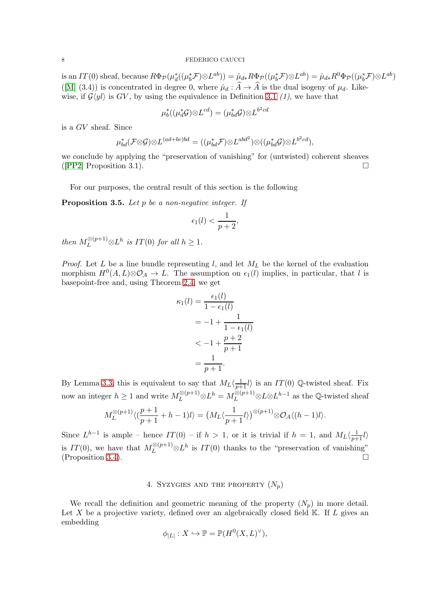is an IT(0) sheaf, because  $R\Phi_{\mathcal{P}}(\mu_d^*(\mu_b^*\mathcal{F})\otimes L^{ab})) = \hat{\mu}_{d*}R\Phi_{\mathcal{P}}((\mu_b^*\mathcal{F})\otimes L^{ab}) = \hat{\mu}_{d*}R^0\Phi_{\mathcal{P}}((\mu_b^*\mathcal{F})\otimes L^{ab})$ ([\[M\]](#page-12-16) (3.4)) is concentrated in degree 0, where  $\hat{\mu}_d : \hat{A} \to \hat{A}$  is the dual isogeny of  $\mu_d$ . Likewise, if  $\mathcal{G}\langle yl \rangle$  is  $GV$ , by using the equivalence in Definition [3.1](#page-5-4) (1), we have that

$$
\mu_b^*((\mu_d^*{\mathcal G}){\otimes} L^{cd})=(\mu_{bd}^*{\mathcal G}){\otimes} L^{b^2cd}
$$

is a GV sheaf. Since

$$
\mu_{bd}^*(\mathcal{F}\otimes\mathcal{G})\otimes L^{(ad+bc)bd} = ((\mu_{bd}^*\mathcal{F})\otimes L^{abd^2})\otimes ((\mu_{bd}^*\mathcal{G})\otimes L^{b^2cd}),
$$

we conclude by applying the "preservation of vanishing" for (untwisted) coherent sheaves ([\[PP2\]](#page-12-19) Proposition 3.1).

For our purposes, the central result of this section is the following

<span id="page-7-0"></span>**Proposition 3.5.** Let p be a non-negative integer. If

$$
\epsilon_1(l) < \frac{1}{p+2},
$$

then  $M_L^{\otimes (p+1)} \otimes L^h$  is  $IT(0)$  for all  $h \geq 1$ .

*Proof.* Let L be a line bundle representing l, and let  $M_L$  be the kernel of the evaluation morphism  $H^0(A, L) \otimes \mathcal{O}_A \to L$ . The assumption on  $\epsilon_1(l)$  implies, in particular, that l is basepoint-free and, using Theorem [2.4,](#page-5-5) we get

$$
\kappa_1(l) = \frac{\epsilon_1(l)}{1 - \epsilon_1(l)}
$$

$$
= -1 + \frac{1}{1 - \epsilon_1(l)}
$$

$$
< -1 + \frac{p+2}{p+1}
$$

$$
= \frac{1}{p+1}.
$$

By Lemma [3.3,](#page-6-1) this is equivalent to say that  $M_L\langle \frac{1}{p+1}l \rangle$  is an  $IT(0)$  Q-twisted sheaf. Fix now an integer  $h \geq 1$  and write  $M_L^{\otimes (p+1)} \otimes L^h = M_L^{\otimes (p+1)} \otimes L \otimes L^{h-1}$  as the Q-twisted sheaf

$$
M_L^{\otimes (p+1)} \langle (\frac{p+1}{p+1} + h - 1)l \rangle = \left( M_L \langle \frac{1}{p+1} l \rangle \right)^{\otimes (p+1)} \otimes \mathcal{O}_A \langle (h-1)l \rangle.
$$

Since  $L^{h-1}$  is ample – hence  $IT(0)$  – if  $h > 1$ , or it is trivial if  $h = 1$ , and  $M_L\langle \frac{1}{p+1}l \rangle$ is  $IT(0)$ , we have that  $M_L^{\otimes (p+1)} \otimes L^h$  is  $IT(0)$  thanks to the "preservation of vanishing" (Proposition [3.4\)](#page-6-2).

## 4. SYZYGIES AND THE PROPERTY  $(N_p)$

We recall the definition and geometric meaning of the property  $(N_p)$  in more detail. Let X be a projective variety, defined over an algebraically closed field  $\mathbb{K}$ . If L gives an embedding

$$
\phi_{|L|}: X \hookrightarrow \mathbb{P} = \mathbb{P}(H^0(X, L)^{\vee}),
$$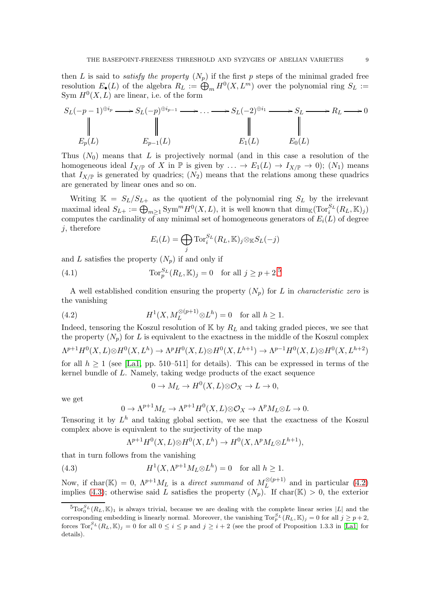then L is said to *satisfy the property*  $(N_p)$  if the first p steps of the minimal graded free resolution  $E_{\bullet}(L)$  of the algebra  $R_L := \bigoplus_{m} H^0(X, L^m)$  over the polynomial ring  $S_L :=$ Sym  $H^0(X, L)$  are linear, i.e. of the form

$$
S_L(-p-1)^{\oplus i_p} \longrightarrow S_L(-p)^{\oplus i_{p-1}} \longrightarrow \dots \longrightarrow S_L(-2)^{\oplus i_1} \longrightarrow S_L \longrightarrow R_L \longrightarrow 0
$$
  
\n
$$
\parallel \qquad \qquad \parallel \qquad \qquad \parallel
$$
  
\n
$$
E_p(L) \qquad \qquad E_{p-1}(L) \qquad \qquad E_1(L) \qquad E_0(L)
$$

Thus  $(N_0)$  means that L is projectively normal (and in this case a resolution of the homogeneous ideal  $I_{X/\mathbb{P}}$  of X in  $\mathbb{P}$  is given by  $\ldots \to E_1(L) \to I_{X/\mathbb{P}} \to 0$ ;  $(N_1)$  means that  $I_{X/\mathbb{P}}$  is generated by quadrics;  $(N_2)$  means that the relations among these quadrics are generated by linear ones and so on.

Writing  $\mathbb{K} = S_L/S_{L+}$  as the quotient of the polynomial ring  $S_L$  by the irrelevant maximal ideal  $S_{L+} := \bigoplus_{m \geq 1} \text{Sym}^m H^0(X, L)$ , it is well known that  $\dim_{\mathbb{K}}(\text{Tor}_i^{S_L}(R_L, \mathbb{K})_j)$ computes the cardinality of any minimal set of homogeneous generators of  $E_i(L)$  of degree  $i$ , therefore

<span id="page-8-3"></span>
$$
E_i(L) = \bigoplus_j \operatorname{Tor}_i^{S_L}(R_L, \mathbb{K})_j \otimes_{\mathbb{K}} S_L(-j)
$$

and L satisfies the property  $(N_n)$  if and only if

(4.1) 
$$
\operatorname{Tor}_p^{S_L}(R_L, \mathbb{K})_j = 0 \text{ for all } j \geq p+2.
$$

A well established condition ensuring the property  $(N_p)$  for L in *characteristic zero* is the vanishing

(4.2) 
$$
H^1(X, M_L^{\otimes (p+1)} \otimes L^h) = 0 \text{ for all } h \ge 1.
$$

Indeed, tensoring the Koszul resolution of  $\mathbb{K}$  by  $R_L$  and taking graded pieces, we see that the property  $(N_p)$  for L is equivalent to the exactness in the middle of the Koszul complex

$$
\Lambda^{p+1}H^0(X, L)\otimes H^0(X, L^h) \to \Lambda^p H^0(X, L)\otimes H^0(X, L^{h+1}) \to \Lambda^{p-1}H^0(X, L)\otimes H^0(X, L^{h+2})
$$
  
for all  $h > 1$  (see [L.31, pp. 510-511] for details). This can be expressed in terms of the

for all  $h \geq 1$  (see [\[La1,](#page-12-14) pp. 510–511] for details). This can be expressed in terms of the kernel bundle of L. Namely, taking wedge products of the exact sequence

<span id="page-8-1"></span>
$$
0 \to M_L \to H^0(X, L) \otimes \mathcal{O}_X \to L \to 0,
$$

we get

$$
0 \to \Lambda^{p+1} M_L \to \Lambda^{p+1} H^0(X, L) \otimes \mathcal{O}_X \to \Lambda^p M_L \otimes L \to 0.
$$

Tensoring it by  $L^h$  and taking global section, we see that the exactness of the Koszul complex above is equivalent to the surjectivity of the map

<span id="page-8-2"></span>
$$
\Lambda^{p+1}H^0(X,L)\otimes H^0(X,L^h)\to H^0(X,\Lambda^pM_L\otimes L^{h+1}),
$$

that in turn follows from the vanishing

(4.3) 
$$
H^1(X, \Lambda^{p+1} M_L \otimes L^h) = 0 \text{ for all } h \ge 1.
$$

Now, if char(K) = 0,  $\Lambda^{p+1} M_L$  is a *direct summand* of  $M_L^{\otimes (p+1)}$  $L^{(2(p+1))}$  and in particular [\(4.2\)](#page-8-1) implies [\(4.3\)](#page-8-2); otherwise said L satisfies the property  $(N_p)$ . If char(K) > 0, the exterior

<span id="page-8-0"></span> ${}^{5}$ Tor ${}^{5}L$  $(R_L, K)_1$  is always trivial, because we are dealing with the complete linear series  $|L|$  and the corresponding embedding is linearly normal. Moreover, the vanishing  $\text{Tor}_p^{S_L}(R_L, \mathbb{K})_j = 0$  for all  $j \geq p+2$ , forces  $\text{Tor}_{i}^{S_L}(R_L, \mathbb{K})_j = 0$  for all  $0 \leq i \leq p$  and  $j \geq i+2$  (see the proof of Proposition 1.3.3 in [\[La1\]](#page-12-14) for details).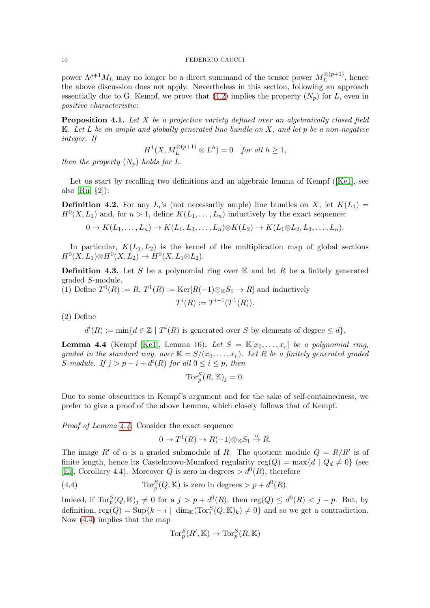power  $\Lambda^{p+1} M_L$  may no longer be a direct summand of the tensor power  $M_L^{\otimes (p+1)}$  $L^{(\mathcal{D}+\mathbf{1})}$ , hence the above discussion does not apply. Nevertheless in this section, following an approach essentially due to G. Kempf, we prove that [\(4.2\)](#page-8-1) implies the property  $(N_p)$  for L, even in positive characteristic:

**Proposition 4.1.** Let  $X$  be a projective variety defined over an algebraically closed field  $K.$  Let  $L$  be an ample and globally generated line bundle on  $X$ , and let  $p$  be a non-negative integer. If

$$
H^1(X, M_L^{\otimes (p+1)} \otimes L^h) = 0 \quad for all  $h \ge 1$ ,
$$

then the property  $(N_p)$  holds for L.

Let us start by recalling two definitions and an algebraic lemma of Kempf ([\[Ke1\]](#page-12-3), see also  $[Ru, §2]$ :

**Definition 4.2.** For any  $L_i$ 's (not necessarily ample) line bundles on X, let  $K(L_1)$  =  $H^0(X, L_1)$  and, for  $n > 1$ , define  $K(L_1, \ldots, L_n)$  inductively by the exact sequence:

 $0 \to K(L_1, \ldots, L_n) \to K(L_1, L_3, \ldots, L_n) \otimes K(L_2) \to K(L_1 \otimes L_2, L_3, \ldots, L_n).$ 

In particular,  $K(L_1, L_2)$  is the kernel of the multiplication map of global sections  $H^0(X, L_1) \otimes H^0(X, L_2) \to H^0(X, L_1 \otimes L_2).$ 

**Definition 4.3.** Let S be a polynomial ring over  $\mathbb{K}$  and let R be a finitely generated graded S-module.

(1) Define 
$$
T^0(R) := R
$$
,  $T^1(R) := \text{Ker}[R(-1)\otimes_{\mathbb{K}}S_1 \to R]$  and inductively  
\n
$$
T^i(R) := T^{i-1}(T^1(R)).
$$

(2) Define

 $d^{i}(R) := \min\{d \in \mathbb{Z} \mid T^{i}(R) \text{ is generated over } S \text{ by elements of degree } \leq d\}.$ 

<span id="page-9-0"></span>**Lemma 4.4** (Kempf [\[Ke1\]](#page-12-3), Lemma 16). Let  $S = \mathbb{K}[x_0, \ldots, x_r]$  be a polynomial ring, graded in the standard way, over  $\mathbb{K} = S/(x_0, \ldots, x_r)$ . Let R be a finitely generated graded S-module. If  $j > p - i + d^{i}(R)$  for all  $0 \le i \le p$ , then

$$
\operatorname{Tor}_p^S(R, \mathbb{K})_j = 0.
$$

Due to some obscurities in Kempf's argument and for the sake of self-containedness, we prefer to give a proof of the above Lemma, which closely follows that of Kempf.

Proof of Lemma [4.4.](#page-9-0) Consider the exact sequence

<span id="page-9-1"></span>
$$
0 \to T^1(R) \to R(-1) \otimes_{\mathbb{K}} S_1 \stackrel{\alpha}{\to} R.
$$

The image R' of  $\alpha$  is a graded submodule of R. The quotient module  $Q = R/R'$  is of finite length, hence its Castelnuovo-Mumford regularity reg( $Q$ ) = max{d |  $Q_d \neq 0$ } (see [\[Ei\]](#page-12-20), Corollary 4.4). Moreover Q is zero in degrees  $> d^{0}(R)$ , therefore

(4.4) 
$$
\operatorname{Tor}_p^S(Q, \mathbb{K}) \text{ is zero in degrees} > p + d^0(R).
$$

Indeed, if  $\text{Tor}_p^S(Q, \mathbb{K})_j \neq 0$  for a  $j > p + d^0(R)$ , then  $\text{reg}(Q) \leq d^0(R) < j - p$ . But, by definition,  $reg(Q) = Sup\{k - i \mid dim_{\mathbb{K}}(Tor_i^S(Q, \mathbb{K})_k) \neq 0\}$  and so we get a contradiction. Now [\(4.4\)](#page-9-1) implies that the map

$$
\operatorname{Tor}_p^S(R', \mathbb{K}) \to \operatorname{Tor}_p^S(R, \mathbb{K})
$$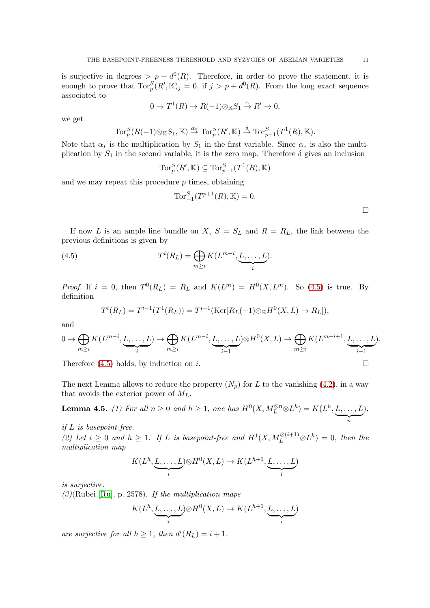is surjective in degrees  $> p + d^{0}(R)$ . Therefore, in order to prove the statement, it is enough to prove that  $\text{Tor}_{p}^{S}(R', \mathbb{K})_j = 0$ , if  $j > p + d^{0}(R)$ . From the long exact sequence associated to

$$
0 \to T^1(R) \to R(-1) \otimes_{\mathbb{K}} S_1 \stackrel{\alpha}{\to} R' \to 0,
$$

we get

$$
\operatorname{Tor}_p^S(R(-1)\otimes_{\mathbb{K}}S_1,\mathbb{K})\xrightarrow{\alpha_{\mathbb{K}}}\operatorname{Tor}_p^S(R',\mathbb{K})\xrightarrow{\delta}\operatorname{Tor}_{p-1}^S(T^1(R),\mathbb{K}).
$$

Note that  $\alpha_*$  is the multiplication by  $S_1$  in the first variable. Since  $\alpha_*$  is also the multiplication by  $S_1$  in the second variable, it is the zero map. Therefore  $\delta$  gives an inclusion

$$
\operatorname{Tor}_p^S(R', \mathbb{K}) \subseteq \operatorname{Tor}_{p-1}^S(T^1(R), \mathbb{K})
$$

and we may repeat this procedure  $p$  times, obtaining

<span id="page-10-0"></span>Tor<sup>S</sup><sub>-1</sub>
$$
(T^{p+1}(R), \mathbb{K}) = 0.
$$

If now L is an ample line bundle on X,  $S = S_L$  and  $R = R_L$ , the link between the previous definitions is given by

(4.5) 
$$
T^{i}(R_{L}) = \bigoplus_{m \geq i} K(L^{m-i}, \underbrace{L, \ldots, L}_{i}).
$$

*Proof.* If  $i = 0$ , then  $T^0(R_L) = R_L$  and  $K(L^m) = H^0(X, L^m)$ . So [\(4.5\)](#page-10-0) is true. By definition

$$
T^{i}(R_{L}) = T^{i-1}(T^{1}(R_{L})) = T^{i-1}(\text{Ker}[R_{L}(-1)\otimes_{\mathbb{K}}H^{0}(X, L) \to R_{L}]),
$$

and

$$
0 \to \bigoplus_{m \geq i} K(L^{m-i}, \underbrace{L, \dots, L}_{i}) \to \bigoplus_{m \geq i} K(L^{m-i}, \underbrace{L, \dots, L}_{i-1}) \otimes H^0(X, L) \to \bigoplus_{m \geq i} K(L^{m-i+1}, \underbrace{L, \dots, L}_{i-1}).
$$

Therefore [\(4.5\)](#page-10-0) holds, by induction on i.

The next Lemma allows to reduce the property  $(N_p)$  for L to the vanishing [\(4.2\)](#page-8-1), in a way that avoids the exterior power of  $M_L$ .

<span id="page-10-1"></span>**Lemma 4.5.** (1) For all  $n \geq 0$  and  $h \geq 1$ , one has  $H^0(X, M_L^{\otimes n} \otimes L^h) = K(L^h, L, \ldots, L)$  $\underbrace{\qquad \qquad }_{n}$ ),

if L is basepoint-free.

(2) Let  $i \geq 0$  and  $h \geq 1$ . If L is basepoint-free and  $H^1(X, M_L^{\otimes (i+1)} \otimes L^h) = 0$ , then the multiplication map

$$
K(L^h, \underbrace{L, \dots, L}_{i}) \otimes H^0(X, L) \to K(L^{h+1}, \underbrace{L, \dots, L}_{i})
$$

is surjective.

 $(3)(\text{Rulei}$  [\[Ru\]](#page-13-3), p. 2578). If the multiplication maps

$$
K(L^h, \underbrace{L, \dots, L}_{i}) \otimes H^0(X, L) \to K(L^{h+1}, \underbrace{L, \dots, L}_{i})
$$

are surjective for all  $h \geq 1$ , then  $d^{i}(R_L) = i + 1$ .

 $\Box$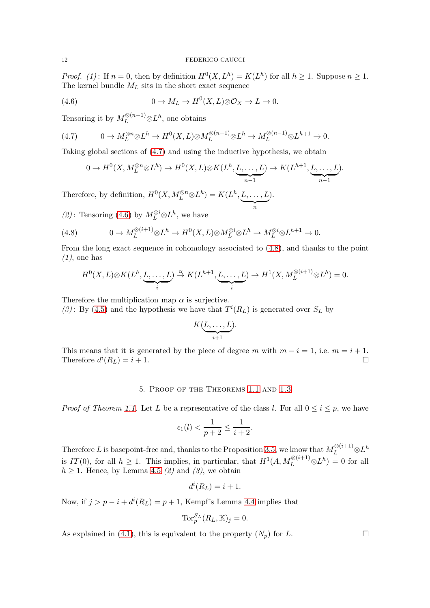*Proof.* (1): If  $n = 0$ , then by definition  $H^0(X, L^h) = K(L^h)$  for all  $h \ge 1$ . Suppose  $n \ge 1$ . The kernel bundle  $M_L$  sits in the short exact sequence

<span id="page-11-1"></span>(4.6) 
$$
0 \to M_L \to H^0(X, L) \otimes \mathcal{O}_X \to L \to 0.
$$

Tensoring it by  $M_L^{\otimes (n-1)} \otimes L^h$ , one obtains

(4.7) 
$$
0 \to M_L^{\otimes n} \otimes L^h \to H^0(X, L) \otimes M_L^{\otimes (n-1)} \otimes L^h \to M_L^{\otimes (n-1)} \otimes L^{h+1} \to 0.
$$

Taking global sections of [\(4.7\)](#page-11-0) and using the inductive hypothesis, we obtain

<span id="page-11-0"></span>
$$
0 \to H^0(X, M_L^{\otimes n} \otimes L^h) \to H^0(X, L) \otimes K(L^h, \underbrace{L, \dots, L}_{n-1}) \to K(L^{h+1}, \underbrace{L, \dots, L}_{n-1}).
$$

Therefore, by definition,  $H^0(X, M_L^{\otimes n} \otimes L^h) = K(L^h, L, \dots, L)$  $\underbrace{\qquad \qquad }_{n}$ ).

(2): Tensoring [\(4.6\)](#page-11-1) by  $M_L^{\otimes i} \otimes L^h$ , we have

<span id="page-11-2"></span>(4.8) 
$$
0 \to M_L^{\otimes (i+1)} \otimes L^h \to H^0(X, L) \otimes M_L^{\otimes i} \otimes L^h \to M_L^{\otimes i} \otimes L^{h+1} \to 0.
$$

From the long exact sequence in cohomology associated to [\(4.8\)](#page-11-2), and thanks to the point  $(1)$ , one has

$$
H^{0}(X, L) \otimes K(L^{h}, \underbrace{L, \dots, L}_{i}) \stackrel{\alpha}{\to} K(L^{h+1}, \underbrace{L, \dots, L}_{i}) \to H^{1}(X, M_{L}^{\otimes (i+1)} \otimes L^{h}) = 0.
$$

Therefore the multiplication map  $\alpha$  is surjective.

(3): By [\(4.5\)](#page-10-0) and the hypothesis we have that  $T^{i}(R_L)$  is generated over  $S_L$  by

$$
K(\underbrace{L,\ldots,L}_{i+1}).
$$

This means that it is generated by the piece of degree m with  $m - i = 1$ , i.e.  $m = i + 1$ . Therefore  $d^{i}(R_{L}) = i + 1$ .

## 5. Proof of the Theorems [1.1](#page-1-0) and [1.3](#page-2-2)

*Proof of Theorem [1.1.](#page-1-0)* Let L be a representative of the class l. For all  $0 \le i \le p$ , we have

$$
\epsilon_1(l) < \frac{1}{p+2} \le \frac{1}{i+2}.
$$

Therefore L is basepoint-free and, thanks to the Proposition [3.5,](#page-7-0) we know that  $M_L^{\otimes (i+1)} \otimes L^h$ is  $IT(0)$ , for all  $h \geq 1$ . This implies, in particular, that  $H^1(A, M_L^{\otimes (i+1)} \otimes L^h) = 0$  for all  $h \geq 1$ . Hence, by Lemma [4.5](#page-10-1) (2) and (3), we obtain

$$
d^i(R_L) = i + 1.
$$

Now, if  $j > p - i + d^{i}(R_L) = p + 1$ , Kempf's Lemma [4.4](#page-9-0) implies that

$$
\text{Tor}_p^{S_L}(R_L, \mathbb{K})_j = 0.
$$

As explained in [\(4.1\)](#page-8-3), this is equivalent to the property  $(N_p)$  for L.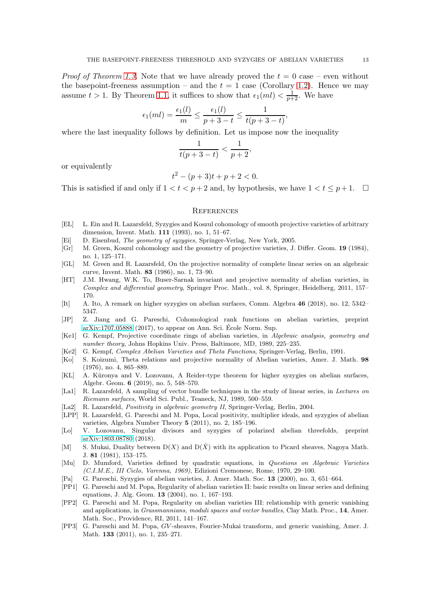*Proof of Theorem [1.3.](#page-2-2)* Note that we have already proved the  $t = 0$  case – even without the basepoint-freeness assumption – and the  $t = 1$  case (Corollary [1.2\)](#page-1-1). Hence we may assume  $t > 1$ . By Theorem [1.1,](#page-1-0) it suffices to show that  $\epsilon_1(ml) < \frac{1}{p+2}$ . We have

$$
\epsilon_1(ml) = \frac{\epsilon_1(l)}{m} \le \frac{\epsilon_1(l)}{p+3-t} \le \frac{1}{t(p+3-t)},
$$

where the last inequality follows by definition. Let us impose now the inequality

$$
\frac{1}{t(p+3-t)} < \frac{1}{p+2},
$$

or equivalently

$$
t^2 - (p+3)t + p + 2 < 0.
$$

This is satisfied if and only if  $1 < t < p+2$  and, by hypothesis, we have  $1 < t \leq p+1$ .  $\Box$ 

## **REFERENCES**

- <span id="page-12-15"></span>[EL] L. Ein and R. Lazarsfeld, Syzygies and Koszul cohomology of smooth projective varieties of arbitrary dimension, Invent. Math. 111 (1993), no. 1, 51–67.
- <span id="page-12-20"></span>[Ei] D. Eisenbud, The geometry of syzygies, Springer-Verlag, New York, 2005.
- <span id="page-12-11"></span>[Gr] M. Green, Koszul cohomology and the geometry of projective varieties, J. Differ. Geom. 19 (1984), no. 1, 125–171.
- <span id="page-12-12"></span>[GL] M. Green and R. Lazarsfeld, On the projective normality of complete linear series on an algebraic curve, Invent. Math. 83 (1986), no. 1, 73–90.
- <span id="page-12-8"></span>[HT] J.M. Hwang, W.K. To, Buser-Sarnak invariant and projective normality of abelian varieties, in Complex and differential geometry, Springer Proc. Math., vol. 8, Springer, Heidelberg, 2011, 157– 170.
- <span id="page-12-6"></span>[It] A. Ito, A remark on higher syzygies on abelian surfaces, Comm. Algebra 46 (2018), no. 12, 5342– 5347.
- <span id="page-12-0"></span>[JP] Z. Jiang and G. Pareschi, Cohomological rank functions on abelian varieties, preprint [arXiv:1707.05888](http://arxiv.org/abs/1707.05888) (2017), to appear on Ann. Sci. Ecole Norm. Sup. ´
- <span id="page-12-3"></span>[Ke1] G. Kempf, Projective coordinate rings of abelian varieties, in Algebraic analysis, geometry and number theory, Johns Hopkins Univ. Press, Baltimore, MD, 1989, 225–235.
- <span id="page-12-4"></span>[Ke2] G. Kempf, Complex Abelian Varieties and Theta Functions, Springer-Verlag, Berlin, 1991.
- <span id="page-12-13"></span>[Ko] S. Koizumi, Theta relations and projective normality of Abelian varieties, Amer. J. Math. 98 (1976), no. 4, 865–889.
- <span id="page-12-5"></span>[KL] A. Küronya and V. Lozovanu, A Reider-type theorem for higher syzygies on abelian surfaces, Algebr. Geom. 6 (2019), no. 5, 548–570.
- <span id="page-12-14"></span>[La1] R. Lazarsfeld, A sampling of vector bundle techniques in the study of linear series, in Lectures on Riemann surfaces, World Sci. Publ., Teaneck, NJ, 1989, 500–559.
- <span id="page-12-17"></span>[La2] R. Lazarsfeld, Positivity in algebraic geometry II, Springer-Verlag, Berlin, 2004.
- <span id="page-12-9"></span>[LPP] R. Lazarsfeld, G. Pareschi and M. Popa, Local positivity, multiplier ideals, and syzygies of abelian varieties, Algebra Number Theory 5 (2011), no. 2, 185–196.
- <span id="page-12-7"></span>[Lo] V. Lozovanu, Singular divisors and syzygies of polarized abelian threefolds, preprint [arXiv:1803.08780](http://arxiv.org/abs/1803.08780) (2018).
- <span id="page-12-16"></span>[M] S. Mukai, Duality between  $D(X)$  and  $D(\hat{X})$  with its application to Picard sheaves, Nagoya Math. J. 81 (1981), 153–175.
- <span id="page-12-10"></span>[Mu] D. Mumford, Varieties defined by quadratic equations, in Questions on Algebraic Varieties (C.I.M.E., III Ciclo, Varenna, 1969), Edizioni Cremonese, Rome, 1970, 29–100.
- <span id="page-12-1"></span>[Pa] G. Pareschi, Syzygies of abelian varieties, J. Amer. Math. Soc. 13 (2000), no. 3, 651–664.
- <span id="page-12-2"></span>[PP1] G. Pareschi and M. Popa, Regularity of abelian varieties II: basic results on linear series and defining equations, J. Alg. Geom. 13 (2004), no. 1, 167–193.
- <span id="page-12-19"></span>[PP2] G. Pareschi and M. Popa, Regularity on abelian varieties III: relationship with generic vanishing and applications, in Grassmannians, moduli spaces and vector bundles, Clay Math. Proc., 14, Amer. Math. Soc., Providence, RI, 2011, 141–167.
- <span id="page-12-18"></span>[PP3] G. Pareschi and M. Popa, GV -sheaves, Fourier-Mukai transform, and generic vanishing, Amer. J. Math. 133 (2011), no. 1, 235–271.